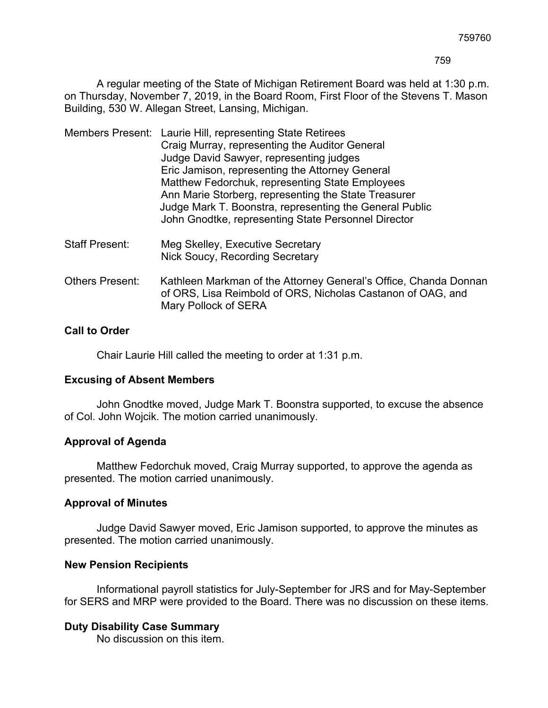A regular meeting of the State of Michigan Retirement Board was held at 1:30 p.m. on Thursday, November 7, 2019, in the Board Room, First Floor of the Stevens T. Mason Building, 530 W. Allegan Street, Lansing, Michigan.

|  | Members Present: Laurie Hill, representing State Retirees                                                      |
|--|----------------------------------------------------------------------------------------------------------------|
|  | Craig Murray, representing the Auditor General                                                                 |
|  | Judge David Sawyer, representing judges                                                                        |
|  | Eric Jamison, representing the Attorney General                                                                |
|  | Matthew Fedorchuk, representing State Employees                                                                |
|  | Ann Marie Storberg, representing the State Treasurer                                                           |
|  | Judge Mark T. Boonstra, representing the General Public<br>John Gnodtke, representing State Personnel Director |

- Staff Present: Meg Skelley, Executive Secretary Nick Soucy, Recording Secretary
- Others Present: Kathleen Markman of the Attorney General's Office, Chanda Donnan of ORS, Lisa Reimbold of ORS, Nicholas Castanon of OAG, and Mary Pollock of SERA

# **Call to Order**

Chair Laurie Hill called the meeting to order at 1:31 p.m.

## **Excusing of Absent Members**

John Gnodtke moved, Judge Mark T. Boonstra supported, to excuse the absence of Col. John Wojcik. The motion carried unanimously.

## **Approval of Agenda**

Matthew Fedorchuk moved, Craig Murray supported, to approve the agenda as presented. The motion carried unanimously.

## **Approval of Minutes**

Judge David Sawyer moved, Eric Jamison supported, to approve the minutes as presented. The motion carried unanimously.

## **New Pension Recipients**

Informational payroll statistics for July-September for JRS and for May-September for SERS and MRP were provided to the Board. There was no discussion on these items.

## **Duty Disability Case Summary**

No discussion on this item.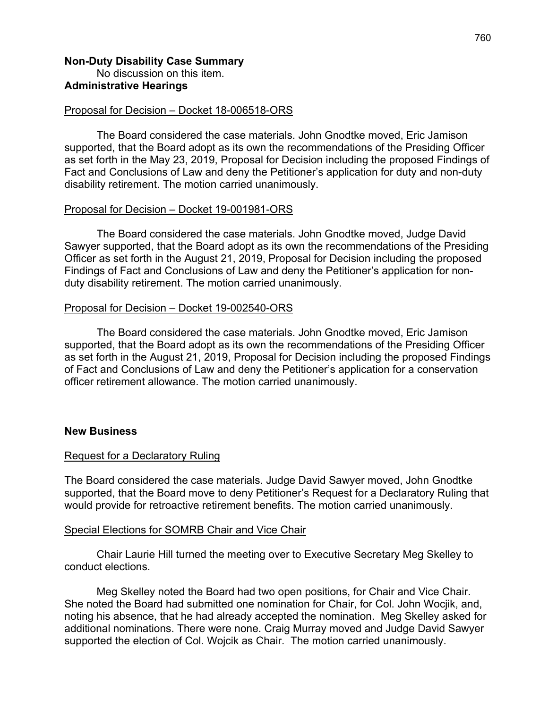### **Non-Duty Disability Case Summary** No discussion on this item. **Administrative Hearings**

### Proposal for Decision – Docket 18-006518-ORS

The Board considered the case materials. John Gnodtke moved, Eric Jamison supported, that the Board adopt as its own the recommendations of the Presiding Officer as set forth in the May 23, 2019, Proposal for Decision including the proposed Findings of Fact and Conclusions of Law and deny the Petitioner's application for duty and non-duty disability retirement. The motion carried unanimously.

### Proposal for Decision – Docket 19-001981-ORS

The Board considered the case materials. John Gnodtke moved, Judge David Sawyer supported, that the Board adopt as its own the recommendations of the Presiding Officer as set forth in the August 21, 2019, Proposal for Decision including the proposed Findings of Fact and Conclusions of Law and deny the Petitioner's application for nonduty disability retirement. The motion carried unanimously.

### Proposal for Decision – Docket 19-002540-ORS

The Board considered the case materials. John Gnodtke moved, Eric Jamison supported, that the Board adopt as its own the recommendations of the Presiding Officer as set forth in the August 21, 2019, Proposal for Decision including the proposed Findings of Fact and Conclusions of Law and deny the Petitioner's application for a conservation officer retirement allowance. The motion carried unanimously.

#### **New Business**

#### Request for a Declaratory Ruling

The Board considered the case materials. Judge David Sawyer moved, John Gnodtke supported, that the Board move to deny Petitioner's Request for a Declaratory Ruling that would provide for retroactive retirement benefits. The motion carried unanimously.

#### Special Elections for SOMRB Chair and Vice Chair

Chair Laurie Hill turned the meeting over to Executive Secretary Meg Skelley to conduct elections.

Meg Skelley noted the Board had two open positions, for Chair and Vice Chair. She noted the Board had submitted one nomination for Chair, for Col. John Wocjik, and, noting his absence, that he had already accepted the nomination. Meg Skelley asked for additional nominations. There were none. Craig Murray moved and Judge David Sawyer supported the election of Col. Wojcik as Chair. The motion carried unanimously.